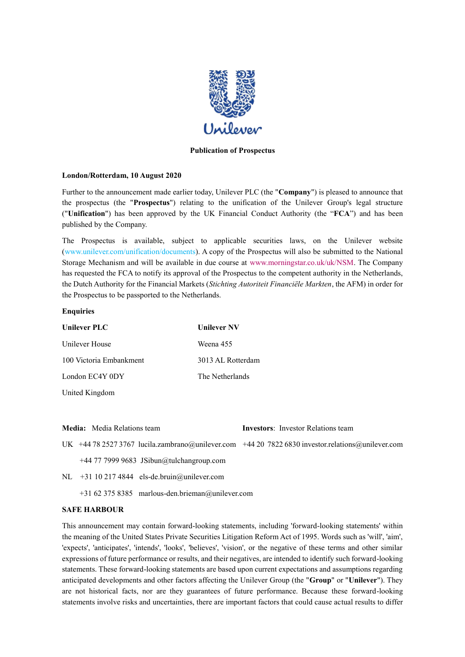

### **Publication of Prospectus**

## **London/Rotterdam, 10 August 2020**

Further to the announcement made earlier today, Unilever PLC (the "**Company**") is pleased to announce that the prospectus (the "**Prospectus**") relating to the unification of the Unilever Group's legal structure ("**Unification**") has been approved by the UK Financial Conduct Authority (the "**FCA**") and has been published by the Company.

The Prospectus is available, subject to applicable securities laws, on the Unilever website (www.unilever.com/unification/documents). A copy of the Prospectus will also be submitted to the National Storage Mechanism and will be available in due course at [www.morningstar.co.uk/uk/NSM.](http://www.morningstar.co.uk/uk/NSM) The Company has requested the FCA to notify its approval of the Prospectus to the competent authority in the Netherlands, the Dutch Authority for the Financial Markets (*Stichting Autoriteit Financiële Markten*, the AFM) in order for the Prospectus to be passported to the Netherlands.

### **Enquiries**

| <b>Unilever PLC</b>     | <b>Unilever NV</b> |
|-------------------------|--------------------|
| Unilever House          | Weena 455          |
| 100 Victoria Embankment | 3013 AL Rotterdam  |
| London EC4Y 0DY         | The Netherlands    |
| United Kingdom          |                    |

|  | <b>Media:</b> Media Relations team |                                          | <b>Investors:</b> Investor Relations team                                                         |
|--|------------------------------------|------------------------------------------|---------------------------------------------------------------------------------------------------|
|  |                                    |                                          | UK +44 78 2527 3767 lucila.zambrano@unilever.com +44 20 7822 6830 investor.relations@unilever.com |
|  |                                    | +44 77 7999 9683 JSibun@tulchangroup.com |                                                                                                   |

NL +31 10 217 4844 [els-de.bruin@unilever.com](mailto:els-de.bruin@unilever.com)

+31 62 375 8385 [marlous-den.brieman@unilever.com](mailto:marlous-den.brieman@unilever.com)

# **SAFE HARBOUR**

This announcement may contain forward-looking statements, including 'forward-looking statements' within the meaning of the United States Private Securities Litigation Reform Act of 1995. Words such as 'will', 'aim', 'expects', 'anticipates', 'intends', 'looks', 'believes', 'vision', or the negative of these terms and other similar expressions of future performance or results, and their negatives, are intended to identify such forward-looking statements. These forward-looking statements are based upon current expectations and assumptions regarding anticipated developments and other factors affecting the Unilever Group (the "**Group**" or "**Unilever**"). They are not historical facts, nor are they guarantees of future performance. Because these forward-looking statements involve risks and uncertainties, there are important factors that could cause actual results to differ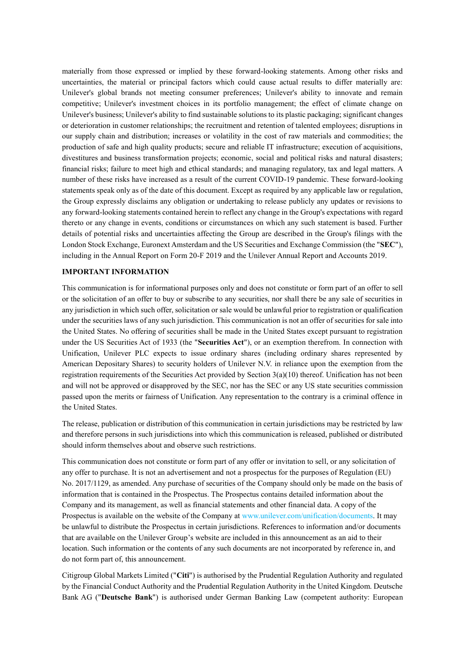materially from those expressed or implied by these forward-looking statements. Among other risks and uncertainties, the material or principal factors which could cause actual results to differ materially are: Unilever's global brands not meeting consumer preferences; Unilever's ability to innovate and remain competitive; Unilever's investment choices in its portfolio management; the effect of climate change on Unilever's business; Unilever's ability to find sustainable solutions to its plastic packaging; significant changes or deterioration in customer relationships; the recruitment and retention of talented employees; disruptions in our supply chain and distribution; increases or volatility in the cost of raw materials and commodities; the production of safe and high quality products; secure and reliable IT infrastructure; execution of acquisitions, divestitures and business transformation projects; economic, social and political risks and natural disasters; financial risks; failure to meet high and ethical standards; and managing regulatory, tax and legal matters. A number of these risks have increased as a result of the current COVID-19 pandemic. These forward-looking statements speak only as of the date of this document. Except as required by any applicable law or regulation, the Group expressly disclaims any obligation or undertaking to release publicly any updates or revisions to any forward-looking statements contained herein to reflect any change in the Group's expectations with regard thereto or any change in events, conditions or circumstances on which any such statement is based. Further details of potential risks and uncertainties affecting the Group are described in the Group's filings with the London Stock Exchange, Euronext Amsterdam and the US Securities and Exchange Commission (the "**SEC**"), including in the Annual Report on Form 20-F 2019 and the Unilever Annual Report and Accounts 2019.

#### **IMPORTANT INFORMATION**

This communication is for informational purposes only and does not constitute or form part of an offer to sell or the solicitation of an offer to buy or subscribe to any securities, nor shall there be any sale of securities in any jurisdiction in which such offer, solicitation or sale would be unlawful prior to registration or qualification under the securities laws of any such jurisdiction. This communication is not an offer of securities for sale into the United States. No offering of securities shall be made in the United States except pursuant to registration under the US Securities Act of 1933 (the "**Securities Act**"), or an exemption therefrom. In connection with Unification, Unilever PLC expects to issue ordinary shares (including ordinary shares represented by American Depositary Shares) to security holders of Unilever N.V. in reliance upon the exemption from the registration requirements of the Securities Act provided by Section  $3(a)(10)$  thereof. Unification has not been and will not be approved or disapproved by the SEC, nor has the SEC or any US state securities commission passed upon the merits or fairness of Unification. Any representation to the contrary is a criminal offence in the United States.

The release, publication or distribution of this communication in certain jurisdictions may be restricted by law and therefore persons in such jurisdictions into which this communication is released, published or distributed should inform themselves about and observe such restrictions.

This communication does not constitute or form part of any offer or invitation to sell, or any solicitation of any offer to purchase. It is not an advertisement and not a prospectus for the purposes of Regulation (EU) No. 2017/1129, as amended. Any purchase of securities of the Company should only be made on the basis of information that is contained in the Prospectus. The Prospectus contains detailed information about the Company and its management, as well as financial statements and other financial data. A copy of the Prospectus is available on the website of the Company at [www.unilever.com/unification/](http://www.unilever.com/unification)documents. It may be unlawful to distribute the Prospectus in certain jurisdictions. References to information and/or documents that are available on the Unilever Group's website are included in this announcement as an aid to their location. Such information or the contents of any such documents are not incorporated by reference in, and do not form part of, this announcement.

Citigroup Global Markets Limited ("**Citi**") is authorised by the Prudential Regulation Authority and regulated by the Financial Conduct Authority and the Prudential Regulation Authority in the United Kingdom. Deutsche Bank AG ("**Deutsche Bank**") is authorised under German Banking Law (competent authority: European